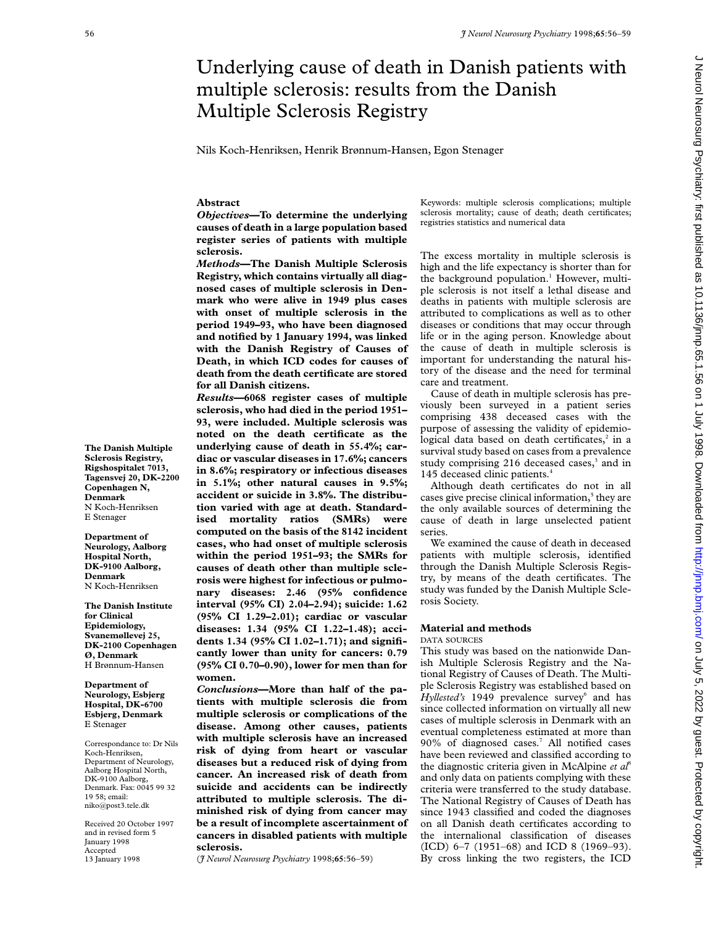# Underlying cause of death in Danish patients with multiple sclerosis: results from the Danish Multiple Sclerosis Registry

Nils Koch-Henriksen, Henrik Brønnum-Hansen, Egon Stenager

#### **Abstract**

*Objectives***—To determine the underlying causes of death in a large population based register series of patients with multiple sclerosis.**

*Methods***—The Danish Multiple Sclerosis Registry, which contains virtually all diagnosed cases of multiple sclerosis in Denmark who were alive in 1949 plus cases with onset of multiple sclerosis in the period 1949–93, who have been diagnosed and notified by 1 January 1994, was linked with the Danish Registry of Causes of Death, in which ICD codes for causes of death from the death certificate are stored for all Danish citizens.**

*Results***—6068 register cases of multiple sclerosis, who had died in the period 1951– 93, were included. Multiple sclerosis was noted on the death certificate as the underlying cause of death in 55.4%; cardiac or vascular diseases in 17.6%; cancers in 8.6%; respiratory or infectious diseases in 5.1%; other natural causes in 9.5%; accident or suicide in 3.8%. The distribution varied with age at death. Standardised mortality ratios (SMRs) were computed on the basis of the 8142 incident cases, who had onset of multiple sclerosis within the period 1951–93; the SMRs for causes of death other than multiple sclerosis were highest for infectious or pulmonary diseases: 2.46 (95% confidence interval (95% CI) 2.04–2.94); suicide: 1.62 (95% CI 1.29–2.01); cardiac or vascular diseases: 1.34 (95% CI 1.22–1.48); accidents 1.34 (95% CI 1.02–1.71); and significantly lower than unity for cancers: 0.79 (95% CI 0.70–0.90), lower for men than for women.**

*Conclusions***—More than half of the patients with multiple sclerosis die from multiple sclerosis or complications of the disease. Among other causes, patients with multiple sclerosis have an increased risk of dying from heart or vascular diseases but a reduced risk of dying from cancer. An increased risk of death from suicide and accidents can be indirectly attributed to multiple sclerosis. The diminished risk of dying from cancer may be a result of incomplete ascertainment of cancers in disabled patients with multiple sclerosis.**

(*J Neurol Neurosurg Psychiatry* 1998;**65**:56–59)

Keywords: multiple sclerosis complications; multiple sclerosis mortality; cause of death; death certificates; registries statistics and numerical data

The excess mortality in multiple sclerosis is high and the life expectancy is shorter than for the background population.<sup>1</sup> However, multiple sclerosis is not itself a lethal disease and deaths in patients with multiple sclerosis are attributed to complications as well as to other diseases or conditions that may occur through life or in the aging person. Knowledge about the cause of death in multiple sclerosis is important for understanding the natural history of the disease and the need for terminal care and treatment.

Cause of death in multiple sclerosis has previously been surveyed in a patient series comprising 438 deceased cases with the purpose of assessing the validity of epidemiological data based on death certificates, $\frac{2}{3}$  in a survival study based on cases from a prevalence study comprising 216 deceased cases,<sup>3</sup> and in 145 deceased clinic patients.<sup>4</sup>

Although death certificates do not in all cases give precise clinical information, $5$  they are the only available sources of determining the cause of death in large unselected patient series.

We examined the cause of death in deceased patients with multiple sclerosis, identified through the Danish Multiple Sclerosis Registry, by means of the death certificates. The study was funded by the Danish Multiple Sclerosis Society.

#### **Material and methods**

DATA SOURCES

This study was based on the nationwide Danish Multiple Sclerosis Registry and the National Registry of Causes of Death. The Multiple Sclerosis Registry was established based on *Hyllested's* 1949 prevalence survey<sup>6</sup> and has since collected information on virtually all new cases of multiple sclerosis in Denmark with an eventual completeness estimated at more than 90% of diagnosed cases.7 All notified cases have been reviewed and classified according to the diagnostic criteria given in McAlpine *et al*<sup>8</sup> and only data on patients complying with these criteria were transferred to the study database. The National Registry of Causes of Death has since 1943 classified and coded the diagnoses on all Danish death certificates according to the internalional classification of diseases (ICD) 6–7 (1951–68) and ICD 8 (1969–93). By cross linking the two registers, the ICD

**DK-2100 Copenhagen**

**Department of Neurology, Esbjerg Hospital, DK-6700 Esbjerg, Denmark** E Stenager

**Ø, Denmark** H Brønnum-Hansen

**The Danish Multiple Sclerosis Registry, Rigshospitalet 7013, Tagensvej 20, DK-2200 Copenhagen N, Denmark** N Koch-Henriksen E Stenager **Department of Neurology, Aalborg Hospital North, DK-9100 Aalborg, Denmark** N Koch-Henriksen **The Danish Institute for Clinical Epidemiology, Svanemøllevej 25,**

Correspondance to: Dr Nils Koch-Henriksen, Department of Neurology, Aalborg Hospital North, DK-9100 Aalborg, Denmark. Fax: 0045 99 32 19 58; email: niko@post3.tele.dk

Received 20 October 1997 and in revised form 5 January 1998 Accepted 13 January 1998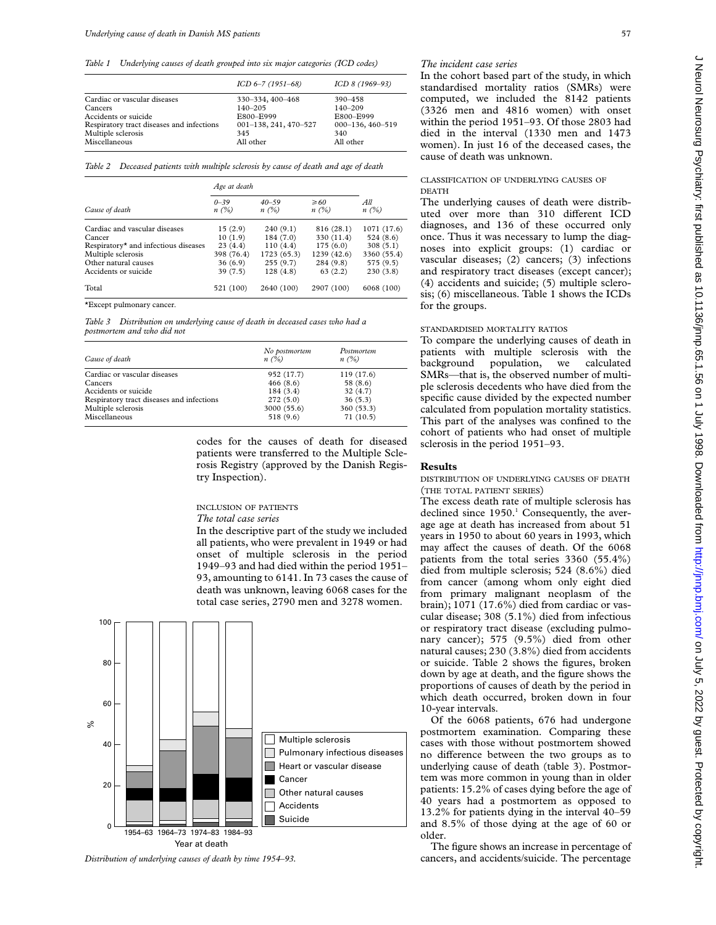*Table 1 Underlying causes of death grouped into six major categories (ICD codes)*

|                                           | ICD 6-7 $(1951-68)$   | ICD 8 (1969-93)  |
|-------------------------------------------|-----------------------|------------------|
| Cardiac or vascular diseases              | 330-334, 400-468      | 390-458          |
| Cancers                                   | $140 - 205$           | $140 - 209$      |
| Accidents or suicide                      | E800-E999             | E800-E999        |
| Respiratory tract diseases and infections | 001-138, 241, 470-527 | 000-136, 460-519 |
| Multiple sclerosis                        | 345                   | 340              |
| Miscellaneous                             | All other             | All other        |

*Table 2 Deceased patients with multiple sclerosis by cause of death and age of death*

|                                                  | Age at death        |                      |                        |                |
|--------------------------------------------------|---------------------|----------------------|------------------------|----------------|
| Cause of death                                   | $0 - 39$<br>$n(\%)$ | $40 - 59$<br>$n(\%)$ | $\geqslant 60$<br>n(%) | All<br>$n(\%)$ |
| Cardiac and vascular diseases                    | 15(2.9)             | 240(9.1)             | 816 (28.1)             | 1071 (17.6)    |
| Cancer                                           | 10(1.9)             | 184 (7.0)            | 330 (11.4)             | 524(8.6)       |
| Respiratory <sup>*</sup> and infectious diseases | 23(4.4)             | 110(4.4)             | 175(6.0)               | 308(5.1)       |
| Multiple sclerosis                               | 398 (76.4)          | 1723 (65.3)          | 1239 (42.6)            | 3360 (55.4)    |
| Other natural causes                             | 36(6.9)             | 255(9.7)             | 284 (9.8)              | 575 (9.5)      |
| Accidents or suicide                             | 39(7.5)             | 128(4.8)             | 63(2.2)                | 230(3.8)       |
| Total                                            | 521 (100)           | 2640 (100)           | 2907 (100)             | 6068 (100)     |

\*Except pulmonary cancer.

*Table 3 Distribution on underlying cause of death in deceased cases who had a postmortem and who did not*

| Cause of death                            | No postmortem<br>$n(\%)$ | Postmortem<br>$n(\%)$ |
|-------------------------------------------|--------------------------|-----------------------|
| Cardiac or vascular diseases              | 952 (17.7)               | 119 (17.6)            |
| Cancers                                   | 466(8.6)                 | 58 (8.6)              |
| Accidents or suicide                      | 184 (3.4)                | 32(4.7)               |
| Respiratory tract diseases and infections | 272(5.0)                 | 36(5.3)               |
| Multiple sclerosis                        | 3000(55.6)               | 360 (53.3)            |
| Miscellaneous                             | 518 (9.6)                | 71(10.5)              |

codes for the causes of death for diseased patients were transferred to the Multiple Sclerosis Registry (approved by the Danish Registry Inspection).

# INCLUSION OF PATIENTS

*The total case series*

In the descriptive part of the study we included all patients, who were prevalent in 1949 or had onset of multiple sclerosis in the period 1949–93 and had died within the period 1951– 93, amounting to 6141. In 73 cases the cause of death was unknown, leaving 6068 cases for the total case series, 2790 men and 3278 women.



*Distribution of underlying causes of death by time 1954–93.*

## *The incident case series*

In the cohort based part of the study, in which standardised mortality ratios (SMRs) were computed, we included the 8142 patients (3326 men and 4816 women) with onset within the period 1951–93. Of those 2803 had died in the interval (1330 men and 1473 women). In just 16 of the deceased cases, the cause of death was unknown.

#### CLASSIFICATION OF UNDERLYING CAUSES OF DEATH

The underlying causes of death were distributed over more than 310 different ICD diagnoses, and 136 of these occurred only once. Thus it was necessary to lump the diagnoses into explicit groups: (1) cardiac or vascular diseases; (2) cancers; (3) infections and respiratory tract diseases (except cancer); (4) accidents and suicide; (5) multiple sclerosis; (6) miscellaneous. Table 1 shows the ICDs for the groups.

#### STANDARDISED MORTALITY RATIOS

To compare the underlying causes of death in patients with multiple sclerosis with the background population, we calculated SMRs—that is, the observed number of multiple sclerosis decedents who have died from the specific cause divided by the expected number calculated from population mortality statistics. This part of the analyses was confined to the cohort of patients who had onset of multiple sclerosis in the period 1951–93.

#### **Results**

DISTRIBUTION OF UNDERLYING CAUSES OF DEATH (THE TOTAL PATIENT SERIES)

The excess death rate of multiple sclerosis has declined since  $1950<sup>1</sup>$  Consequently, the average age at death has increased from about 51 years in 1950 to about 60 years in 1993, which may affect the causes of death. Of the 6068 patients from the total series 3360 (55.4%) died from multiple sclerosis; 524 (8.6%) died from cancer (among whom only eight died from primary malignant neoplasm of the brain); 1071 (17.6%) died from cardiac or vascular disease; 308 (5.1%) died from infectious or respiratory tract disease (excluding pulmonary cancer); 575 (9.5%) died from other natural causes; 230 (3.8%) died from accidents or suicide. Table 2 shows the figures, broken down by age at death, and the figure shows the proportions of causes of death by the period in which death occurred, broken down in four 10-year intervals.

Of the 6068 patients, 676 had undergone postmortem examination. Comparing these cases with those without postmortem showed no difference between the two groups as to underlying cause of death (table 3). Postmortem was more common in young than in older patients: 15.2% of cases dying before the age of 40 years had a postmortem as opposed to 13.2% for patients dying in the interval 40–59 and 8.5% of those dying at the age of 60 or older.

The figure shows an increase in percentage of cancers, and accidents/suicide. The percentage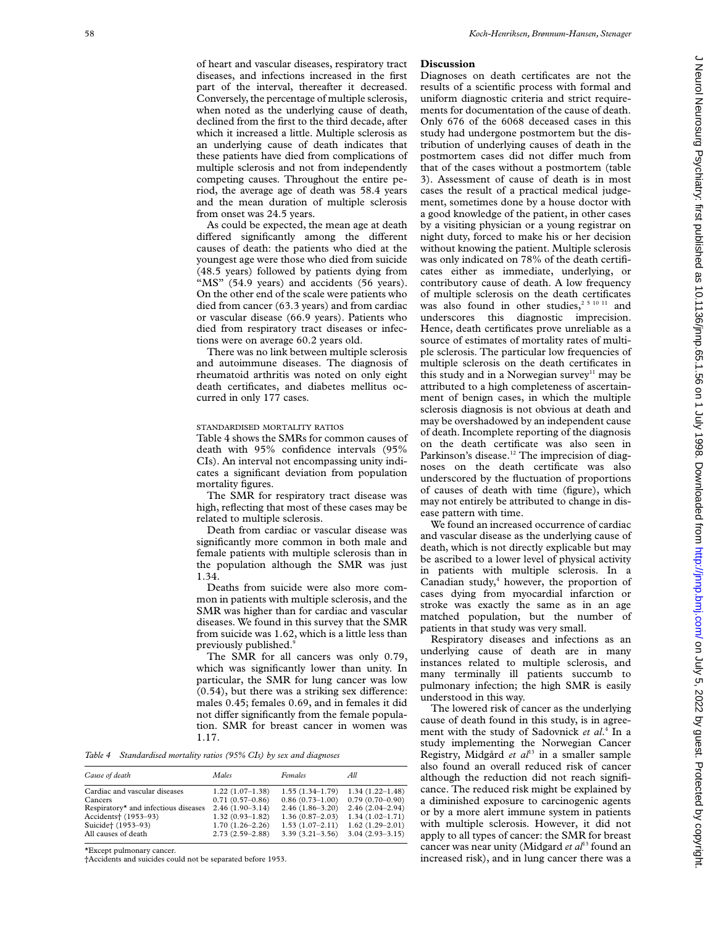of heart and vascular diseases, respiratory tract diseases, and infections increased in the first part of the interval, thereafter it decreased. Conversely, the percentage of multiple sclerosis, when noted as the underlying cause of death, declined from the first to the third decade, after which it increased a little. Multiple sclerosis as an underlying cause of death indicates that these patients have died from complications of multiple sclerosis and not from independently competing causes. Throughout the entire period, the average age of death was 58.4 years and the mean duration of multiple sclerosis from onset was 24.5 years.

As could be expected, the mean age at death differed significantly among the different causes of death: the patients who died at the youngest age were those who died from suicide (48.5 years) followed by patients dying from "MS" (54.9 years) and accidents (56 years). On the other end of the scale were patients who died from cancer (63.3 years) and from cardiac or vascular disease (66.9 years). Patients who died from respiratory tract diseases or infections were on average 60.2 years old.

There was no link between multiple sclerosis and autoimmune diseases. The diagnosis of rheumatoid arthritis was noted on only eight death certificates, and diabetes mellitus occurred in only 177 cases.

# STANDARDISED MORTALITY RATIOS

Table 4 shows the SMRs for common causes of death with 95% confidence intervals (95% CIs). An interval not encompassing unity indicates a significant deviation from population mortality figures.

The SMR for respiratory tract disease was high, reflecting that most of these cases may be related to multiple sclerosis.

Death from cardiac or vascular disease was significantly more common in both male and female patients with multiple sclerosis than in the population although the SMR was just 1.34.

Deaths from suicide were also more common in patients with multiple sclerosis, and the SMR was higher than for cardiac and vascular diseases. We found in this survey that the SMR from suicide was 1.62, which is a little less than previously published.<sup>9</sup>

The SMR for all cancers was only 0.79, which was significantly lower than unity. In particular, the SMR for lung cancer was low  $(0.54)$ , but there was a striking sex difference: males 0.45; females 0.69, and in females it did not differ significantly from the female population. SMR for breast cancer in women was 1.17.

*Table 4 Standardised mortality ratios (95% CIs) by sex and diagnoses*

| Cause of death                                   | Males               | Females             | All                 |
|--------------------------------------------------|---------------------|---------------------|---------------------|
| Cardiac and vascular diseases                    | $1.22(1.07-1.38)$   | $1.55(1.34-1.79)$   | $1.34(1.22 - 1.48)$ |
| Cancers                                          | $0.71(0.57-0.86)$   | $0.86(0.73 - 1.00)$ | $0.79(0.70 - 0.90)$ |
| Respiratory <sup>*</sup> and infectious diseases | $2.46(1.90-3.14)$   | $2.46(1.86 - 3.20)$ | $2.46(2.04-2.94)$   |
| Accidents† (1953–93)                             | $1.32(0.93 - 1.82)$ | $1.36(0.87-2.03)$   | $1.34(1.02 - 1.71)$ |
| Suicide† (1953–93)                               | $1.70(1.26 - 2.26)$ | $1.53(1.07-2.11)$   | $1.62(1.29 - 2.01)$ |
| All causes of death                              | $2.73(2.59 - 2.88)$ | $3.39(3.21 - 3.56)$ | $3.04(2.93 - 3.15)$ |

\*Except pulmonary cancer.

†Accidents and suicides could not be separated before 1953.

## **Discussion**

Diagnoses on death certificates are not the results of a scientific process with formal and uniform diagnostic criteria and strict requirements for documentation of the cause of death. Only 676 of the 6068 deceased cases in this study had undergone postmortem but the distribution of underlying causes of death in the postmortem cases did not differ much from that of the cases without a postmortem (table 3). Assessment of cause of death is in most cases the result of a practical medical judgement, sometimes done by a house doctor with a good knowledge of the patient, in other cases by a visiting physician or a young registrar on night duty, forced to make his or her decision without knowing the patient. Multiple sclerosis was only indicated on 78% of the death certificates either as immediate, underlying, or contributory cause of death. A low frequency of multiple sclerosis on the death certificates was also found in other studies,  $251011$  and underscores this diagnostic imprecision. Hence, death certificates prove unreliable as a source of estimates of mortality rates of multiple sclerosis. The particular low frequencies of multiple sclerosis on the death certificates in this study and in a Norwegian survey<sup>11</sup> may be attributed to a high completeness of ascertainment of benign cases, in which the multiple sclerosis diagnosis is not obvious at death and may be overshadowed by an independent cause of death. Incomplete reporting of the diagnosis on the death certificate was also seen in Parkinson's disease.<sup>12</sup> The imprecision of diagnoses on the death certificate was also underscored by the fluctuation of proportions of causes of death with time (figure), which may not entirely be attributed to change in disease pattern with time.

We found an increased occurrence of cardiac and vascular disease as the underlying cause of death, which is not directly explicable but may be ascribed to a lower level of physical activity in patients with multiple sclerosis. In a Canadian study, $4$  however, the proportion of cases dying from myocardial infarction or stroke was exactly the same as in an age matched population, but the number of patients in that study was very small.

Respiratory diseases and infections as an underlying cause of death are in many instances related to multiple sclerosis, and many terminally ill patients succumb to pulmonary infection; the high SMR is easily understood in this way.

The lowered risk of cancer as the underlying cause of death found in this study, is in agreement with the study of Sadovnick *et al*. <sup>4</sup> In a study implementing the Norwegian Cancer Registry, Midgård *et al*<sup>13</sup> in a smaller sample also found an overall reduced risk of cancer although the reduction did not reach significance. The reduced risk might be explained by a diminished exposure to carcinogenic agents or by a more alert immune system in patients with multiple sclerosis. However, it did not apply to all types of cancer: the SMR for breast cancer was near unity (Midgard *et al*<sup>13</sup> found an increased risk), and in lung cancer there was a